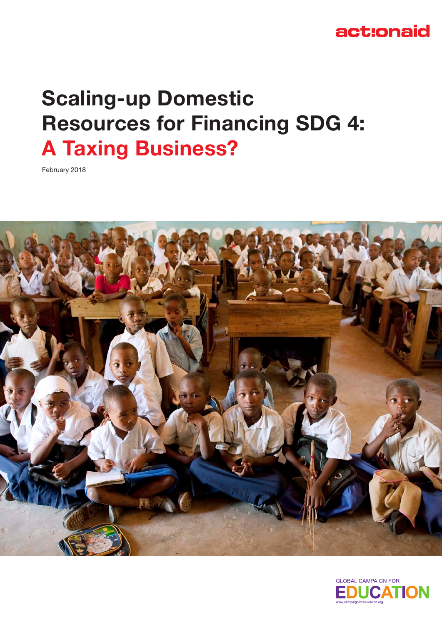## act:onaid

# **Scaling-up Domestic Resources for Financing SDG 4: A Taxing Business?**

February 2018



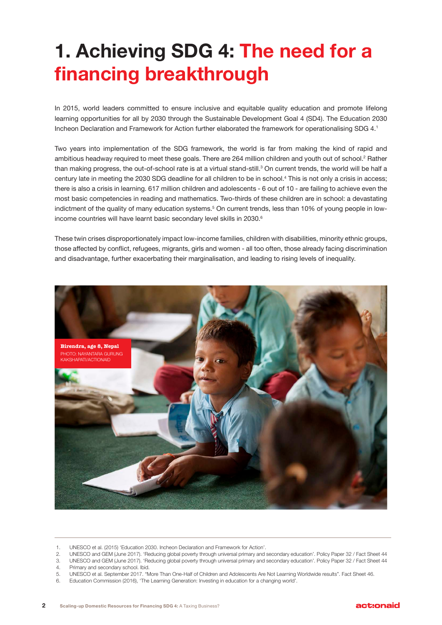# **1. Achieving SDG 4: The need for a financing breakthrough**

In 2015, world leaders committed to ensure inclusive and equitable quality education and promote lifelong learning opportunities for all by 2030 through the Sustainable Development Goal 4 (SD4). The Education 2030 Incheon Declaration and Framework for Action further elaborated the framework for operationalising SDG 4.1

Two years into implementation of the SDG framework, the world is far from making the kind of rapid and ambitious headway required to meet these goals. There are 264 million children and youth out of school.<sup>2</sup> Rather than making progress, the out-of-school rate is at a virtual stand-still.<sup>3</sup> On current trends, the world will be half a century late in meeting the 2030 SDG deadline for all children to be in school.4 This is not only a crisis in access; there is also a crisis in learning. 617 million children and adolescents - 6 out of 10 - are failing to achieve even the most basic competencies in reading and mathematics. Two-thirds of these children are in school: a devastating indictment of the quality of many education systems.<sup>5</sup> On current trends, less than 10% of young people in lowincome countries will have learnt basic secondary level skills in 2030.<sup>6</sup>

These twin crises disproportionately impact low-income families, children with disabilities, minority ethnic groups, those affected by conflict, refugees, migrants, girls and women - all too often, those already facing discrimination and disadvantage, further exacerbating their marginalisation, and leading to rising levels of inequality.



<sup>1.</sup> UNESCO et al. (2015) 'Education 2030. Incheon Declaration and Framework for Action'.

6. Education Commission (2016), 'The Learning Generation: Investing in education for a changing world'.

<sup>2.</sup> UNESCO and GEM (June 2017). 'Reducing global poverty through universal primary and secondary education'. Policy Paper 32 / Fact Sheet 44

<sup>3.</sup> UNESCO and GEM (June 2017). 'Reducing global poverty through universal primary and secondary education'. Policy Paper 32 / Fact Sheet 44 4. Primary and secondary school. Ibid.

<sup>5.</sup> UNESCO et al. September 2017. "More Than One-Half of Children and Adolescents Are Not Learning Worldwide results". Fact Sheet 46.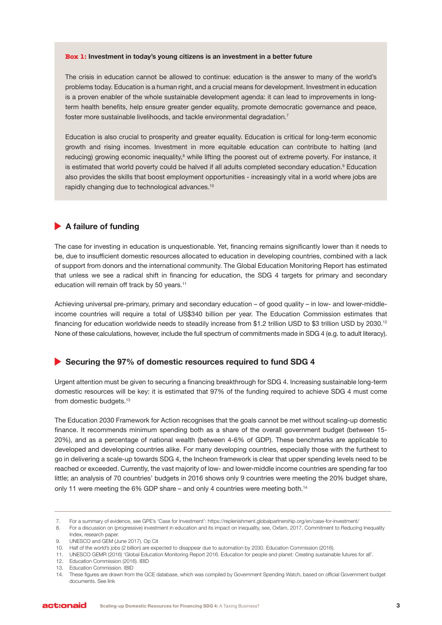#### **Box 1: Investment in today's young citizens is an investment in a better future**

The crisis in education cannot be allowed to continue: education is the answer to many of the world's problems today. Education is a human right, and a crucial means for development. Investment in education is a proven enabler of the whole sustainable development agenda: it can lead to improvements in longterm health benefits, help ensure greater gender equality, promote democratic governance and peace, foster more sustainable livelihoods, and tackle environmental degradation.<sup>7</sup>

Education is also crucial to prosperity and greater equality. Education is critical for long-term economic growth and rising incomes. Investment in more equitable education can contribute to halting (and reducing) growing economic inequality,<sup>8</sup> while lifting the poorest out of extreme poverty. For instance, it is estimated that world poverty could be halved if all adults completed secondary education.<sup>9</sup> Education also provides the skills that boost employment opportunities - increasingly vital in a world where jobs are rapidly changing due to technological advances.<sup>10</sup>

### **A failure of funding**

The case for investing in education is unquestionable. Yet, financing remains significantly lower than it needs to be, due to insufficient domestic resources allocated to education in developing countries, combined with a lack of support from donors and the international community. The Global Education Monitoring Report has estimated that unless we see a radical shift in financing for education, the SDG 4 targets for primary and secondary education will remain off track by 50 years.<sup>11</sup>

Achieving universal pre-primary, primary and secondary education – of good quality – in low- and lower-middleincome countries will require a total of US\$340 billion per year. The Education Commission estimates that financing for education worldwide needs to steadily increase from \$1.2 trillion USD to \$3 trillion USD by 2030.<sup>12</sup> None of these calculations, however, include the full spectrum of commitments made in SDG 4 (e.g. to adult literacy).

#### **Securing the 97% of domestic resources required to fund SDG 4**

Urgent attention must be given to securing a financing breakthrough for SDG 4. Increasing sustainable long-term domestic resources will be key: it is estimated that 97% of the funding required to achieve SDG 4 must come from domestic budgets.<sup>13</sup>

The Education 2030 Framework for Action recognises that the goals cannot be met without scaling-up domestic finance. It recommends minimum spending both as a share of the overall government budget (between 15- 20%), and as a percentage of national wealth (between 4-6% of GDP). These benchmarks are applicable to developed and developing countries alike. For many developing countries, especially those with the furthest to go in delivering a scale-up towards SDG 4, the Incheon framework is clear that upper spending levels need to be reached or exceeded. Currently, the vast majority of low- and lower-middle income countries are spending far too little; an analysis of 70 countries' budgets in 2016 shows only 9 countries were meeting the 20% budget share, only 11 were meeting the 6% GDP share – and only 4 countries were meeting both.<sup>14</sup>

<sup>7.</sup> For a summary of evidence, see GPE's 'Case for Investment': https://replenishment.globalpartnership.org/en/case-for-investment/

<sup>8.</sup> For a discussion on (progressive) investment in education and its impact on inequality, see, Oxfam, 2017, Commitment to Reducing Inequality Index, research paper.

<sup>9.</sup> UNESCO and GEM (June 2017). Op Cit

<sup>10.</sup> Half of the world's jobs (2 billion) are expected to disappear due to automation by 2030. Education Commission (2016).

<sup>11.</sup> UNESCO GEMR (2016) 'Global Education Monitoring Report 2016. Education for people and planet: Creating sustainable futures for all'.

<sup>12.</sup> Education Commission (2016). IBID

<sup>13.</sup> Education Commission. IBID

<sup>14.</sup> These figures are drawn from the GCE database, which was compiled by Government Spending Watch, based on official Government budget documents. See link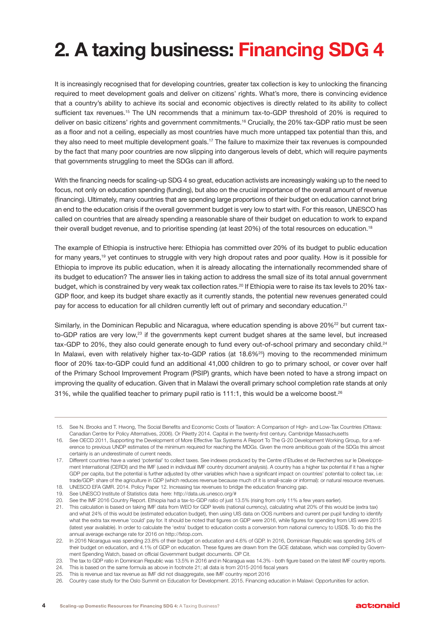# **2. A taxing business: Financing SDG 4**

It is increasingly recognised that for developing countries, greater tax collection is key to unlocking the financing required to meet development goals and deliver on citizens' rights. What's more, there is convincing evidence that a country's ability to achieve its social and economic objectives is directly related to its ability to collect sufficient tax revenues.<sup>15</sup> The UN recommends that a minimum tax-to-GDP threshold of 20% is required to deliver on basic citizens' rights and government commitments.<sup>16</sup> Crucially, the 20% tax-GDP ratio must be seen as a floor and not a ceiling, especially as most countries have much more untapped tax potential than this, and they also need to meet multiple development goals.<sup>17</sup> The failure to maximize their tax revenues is compounded by the fact that many poor countries are now slipping into dangerous levels of debt, which will require payments that governments struggling to meet the SDGs can ill afford.

With the financing needs for scaling-up SDG 4 so great, education activists are increasingly waking up to the need to focus, not only on education spending (funding), but also on the crucial importance of the overall amount of revenue (financing). Ultimately, many countries that are spending large proportions of their budget on education cannot bring an end to the education crisis if the overall government budget is very low to start with. For this reason, UNESCO has called on countries that are already spending a reasonable share of their budget on education to work to expand their overall budget revenue, and to prioritise spending (at least 20%) of the total resources on education.<sup>18</sup>

The example of Ethiopia is instructive here: Ethiopia has committed over 20% of its budget to public education for many years,19 yet continues to struggle with very high dropout rates and poor quality. How is it possible for Ethiopia to improve its public education, when it is already allocating the internationally recommended share of its budget to education? The answer lies in taking action to address the small size of its total annual government budget, which is constrained by very weak tax collection rates.<sup>20</sup> If Ethiopia were to raise its tax levels to 20% tax-GDP floor, and keep its budget share exactly as it currently stands, the potential new revenues generated could pay for access to education for all children currently left out of primary and secondary education.<sup>21</sup>

Similarly, in the Dominican Republic and Nicaragua, where education spending is above 20%<sup>22</sup> but current taxto-GDP ratios are very low,<sup>23</sup> if the governments kept current budget shares at the same level, but increased tax-GDP to 20%, they also could generate enough to fund every out-of-school primary and secondary child.<sup>24</sup> In Malawi, even with relatively higher tax-to-GDP ratios (at 18.6%<sup>25</sup>) moving to the recommended minimum floor of 20% tax-to-GDP could fund an additional 41,000 children to go to primary school, or cover over half of the Primary School Improvement Program (PSIP) grants, which have been noted to have a strong impact on improving the quality of education. Given that in Malawi the overall primary school completion rate stands at only 31%, while the qualified teacher to primary pupil ratio is 111:1, this would be a welcome boost.<sup>26</sup>

<sup>15.</sup> See N. Brooks and T. Hwong, The Social Benefits and Economic Costs of Taxation: A Comparison of High- and Low-Tax Countries (Ottawa: Canadian Centre for Policy Alternatives, 2006). Or Piketty 2014. Capital in the twenty-first century. Cambridge Massachusetts

<sup>16.</sup> See OECD 2011, Supporting the Development of More Effective Tax Systems A Report To The G-20 Development Working Group, for a reference to previous UNDP estimates of the minimum required for reaching the MDGs. Given the more ambitious goals of the SDGs this almost certainly is an underestimate of current needs.

<sup>17.</sup> Different countries have a varied 'potential' to collect taxes. See indexes produced by the Centre d'Etudes et de Recherches sur le Développement International (CERDI) and the IMF (used in individual IMF country document analysis). A country has a higher tax potential if it has a higher GDP per capita, but the potential is further adjusted by other variables which have a significant impact on countries' potential to collect tax, i.e: trade/GDP: share of the agriculture in GDP (which reduces revenue because much of it is small-scale or informal): or natural resource revenues.

UNESCO EFA GMR. 2014. Policy Paper 12. Increasing tax revenues to bridge the education financing gap. 19. See UNESCO Institute of Statistics data here: http://data.uis.unesco.org/#

<sup>20.</sup> See the IMF 2016 Country Report. Ethiopia had a tax-to-GDP ratio of just 13.5% (rising from only 11% a few years earlier).

<sup>21.</sup> This calculation is based on taking IMF data from WEO for GDP levels (national currency), calculating what 20% of this would be (extra tax) and what 24% of this would be (estimated education budget), then using UIS data on OOS numbers and current per pupil funding to identify what the extra tax revenue 'could' pay for. It should be noted that figures on GDP were 2016, while figures for spending from UIS were 2015 (latest year available). In order to calculate the 'extra' budget to education costs a conversion from national currency to USD\$. To do this the annual average exchange rate for 2016 on http://fxtop.com.

<sup>22.</sup> In 2016 Nicaragua was spending 23.8% of their budget on education and 4.6% of GDP. In 2016, Dominican Republic was spending 24% of their budget on education, and 4.1% of GDP on education. These figures are drawn from the GCE database, which was compiled by Government Spending Watch, based on official Government budget documents. OP Cit.

<sup>23.</sup> The tax to GDP ratio in Dominican Republic was 13.5% in 2016 and in Nicaragua was 14.3% - both figure based on the latest IMF country reports.

<sup>24.</sup> This is based on the same formula as above in footnote 21; all data is from 2015-2016 fiscal years

<sup>25.</sup> This is revenue and tax revenue as IMF did not disaggregate, see IMF country report 2016

<sup>26.</sup> Country case study for the Oslo Summit on Education for Development. 2015. Financing education in Malawi: Opportunities for action.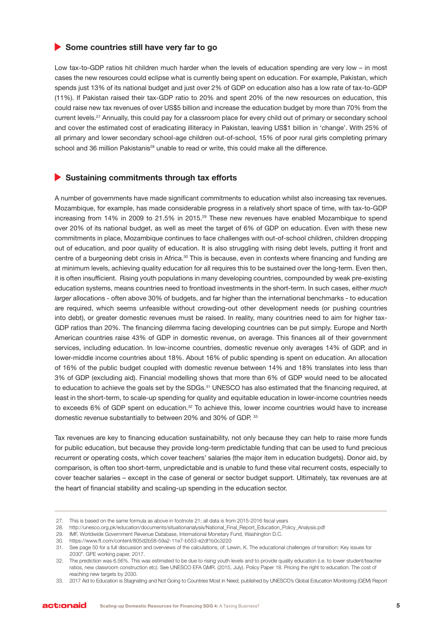#### **▶ Some countries still have very far to go**

Low tax-to-GDP ratios hit children much harder when the levels of education spending are very low – in most cases the new resources could eclipse what is currently being spent on education. For example, Pakistan, which spends just 13% of its national budget and just over 2% of GDP on education also has a low rate of tax-to-GDP (11%). If Pakistan raised their tax-GDP ratio to 20% and spent 20% of the new resources on education, this could raise new tax revenues of over US\$5 billion and increase the education budget by more than 70% from the current levels.27 Annually, this could pay for a classroom place for every child out of primary or secondary school and cover the estimated cost of eradicating illiteracy in Pakistan, leaving US\$1 billion in 'change'. With 25% of all primary and lower secondary school-age children out-of-school, 15% of poor rural girls completing primary school and 36 million Pakistanis<sup>28</sup> unable to read or write, this could make all the difference.

### **Sustaining commitments through tax efforts**

A number of governments have made significant commitments to education whilst also increasing tax revenues. Mozambique, for example, has made considerable progress in a relatively short space of time, with tax-to-GDP increasing from 14% in 2009 to 21.5% in 2015.<sup>29</sup> These new revenues have enabled Mozambique to spend over 20% of its national budget, as well as meet the target of 6% of GDP on education. Even with these new commitments in place, Mozambique continues to face challenges with out-of-school children, children dropping out of education, and poor quality of education. It is also struggling with rising debt levels, putting it front and centre of a burgeoning debt crisis in Africa.<sup>30</sup> This is because, even in contexts where financing and funding are at minimum levels, achieving quality education for all requires this to be sustained over the long-term. Even then, it is often insufficient. Rising youth populations in many developing countries, compounded by weak pre-existing education systems, means countries need to frontload investments in the short-term. In such cases, either *much larger* allocations - often above 30% of budgets, and far higher than the international benchmarks - to education are required, which seems unfeasible without crowding-out other development needs (or pushing countries into debt), or greater domestic revenues must be raised. In reality, many countries need to aim for higher tax-GDP ratios than 20%. The financing dilemma facing developing countries can be put simply. Europe and North American countries raise 43% of GDP in domestic revenue, on average. This finances all of their government services, including education. In low-income countries, domestic revenue only averages 14% of GDP, and in lower-middle income countries about 18%. About 16% of public spending is spent on education. An allocation of 16% of the public budget coupled with domestic revenue between 14% and 18% translates into less than 3% of GDP (excluding aid). Financial modelling shows that more than 6% of GDP would need to be allocated to education to achieve the goals set by the SDGs.<sup>31</sup> UNESCO has also estimated that the financing required, at least in the short-term, to scale-up spending for quality and equitable education in lower-income countries needs to exceeds 6% of GDP spent on education.<sup>32</sup> To achieve this, lower income countries would have to increase domestic revenue substantially to between 20% and 30% of GDP. 33

Tax revenues are key to financing education sustainability, not only because they can help to raise more funds for public education, but because they provide long-term predictable funding that can be used to fund precious recurrent or operating costs, which cover teachers' salaries (the major item in education budgets). Donor aid, by comparison, is often too short-term, unpredictable and is unable to fund these vital recurrent costs, especially to cover teacher salaries – except in the case of general or sector budget support. Ultimately, tax revenues are at the heart of financial stability and scaling-up spending in the education sector.

<sup>27.</sup> This is based on the same formula as above in footnote 21; all data is from 2015-2016 fiscal years

<sup>28.</sup> http://unesco.org.pk/education/documents/situationanalysis/National\_Final\_Report\_Education\_Policy\_Analysis.pdf

<sup>29.</sup> IMF, Worldwide Government Revenue Database, International Monetary Fund, Washington D.C.

<sup>30.</sup> https://www.ft.com/content/805d2b58-59a2-11e7-b553-e2df1b0c3220

<sup>31.</sup> See page 50 for a full discussion and overviews of the calculations, of: Lewin, K. The educational challenges of transition: Key issues for 2030". GPE working paper, 2017.

<sup>32.</sup> The prediction was 6.56%. This was estimated to be due to rising youth levels and to provide quality education (i.e. to lower student/teacher ratios, new classroom construction etc). See UNESCO EFA GMR. (2015, July). Policy Paper 18. Pricing the right to education: The cost of reaching new targets by 2030.

<sup>33.</sup> 2017 Aid to Education is Stagnating and Not Going to Countries Most in Need, published by UNESCO's Global Education Monitoring (GEM) Report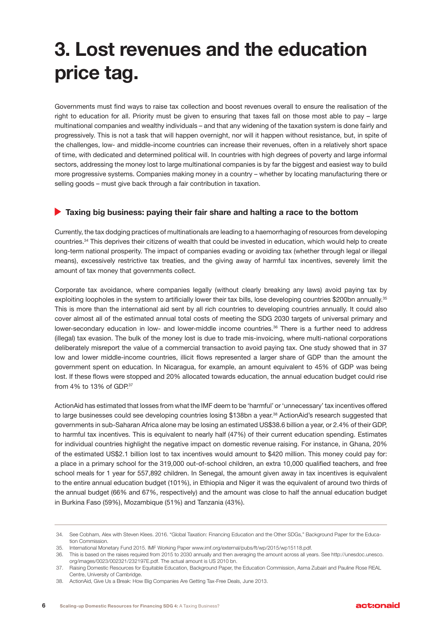## **3. Lost revenues and the education price tag.**

Governments must find ways to raise tax collection and boost revenues overall to ensure the realisation of the right to education for all. Priority must be given to ensuring that taxes fall on those most able to pay – large multinational companies and wealthy individuals – and that any widening of the taxation system is done fairly and progressively. This is not a task that will happen overnight, nor will it happen without resistance, but, in spite of the challenges, low- and middle-income countries can increase their revenues, often in a relatively short space of time, with dedicated and determined political will. In countries with high degrees of poverty and large informal sectors, addressing the money lost to large multinational companies is by far the biggest and easiest way to build more progressive systems. Companies making money in a country – whether by locating manufacturing there or selling goods – must give back through a fair contribution in taxation.

### **Taxing big business: paying their fair share and halting a race to the bottom**

Currently, the tax dodging practices of multinationals are leading to a haemorrhaging of resources from developing countries.34 This deprives their citizens of wealth that could be invested in education, which would help to create long-term national prosperity. The impact of companies evading or avoiding tax (whether through legal or illegal means), excessively restrictive tax treaties, and the giving away of harmful tax incentives, severely limit the amount of tax money that governments collect.

Corporate tax avoidance, where companies legally (without clearly breaking any laws) avoid paying tax by exploiting loopholes in the system to artificially lower their tax bills, lose developing countries \$200bn annually.<sup>35</sup> This is more than the international aid sent by all rich countries to developing countries annually. It could also cover almost all of the estimated annual total costs of meeting the SDG 2030 targets of universal primary and lower-secondary education in low- and lower-middle income countries.<sup>36</sup> There is a further need to address (illegal) tax evasion. The bulk of the money lost is due to trade mis-invoicing, where multi-national corporations deliberately misreport the value of a commercial transaction to avoid paying tax. One study showed that in 37 low and lower middle-income countries, illicit flows represented a larger share of GDP than the amount the government spent on education. In Nicaragua, for example, an amount equivalent to 45% of GDP was being lost. If these flows were stopped and 20% allocated towards education, the annual education budget could rise from 4% to 13% of GDP.37

ActionAid has estimated that losses from what the IMF deem to be 'harmful' or 'unnecessary' tax incentives offered to large businesses could see developing countries losing \$138bn a year.<sup>38</sup> ActionAid's research suggested that governments in sub-Saharan Africa alone may be losing an estimated US\$38.6 billion a year, or 2.4% of their GDP, to harmful tax incentives. This is equivalent to nearly half (47%) of their current education spending. Estimates for individual countries highlight the negative impact on domestic revenue raising. For instance, in Ghana, 20% of the estimated US\$2.1 billion lost to tax incentives would amount to \$420 million. This money could pay for: a place in a primary school for the 319,000 out-of-school children, an extra 10,000 qualified teachers, and free school meals for 1 year for 557,892 children. In Senegal, the amount given away in tax incentives is equivalent to the entire annual education budget (101%), in Ethiopia and Niger it was the equivalent of around two thirds of the annual budget (66% and 67%, respectively) and the amount was close to half the annual education budget in Burkina Faso (59%), Mozambique (51%) and Tanzania (43%).

<sup>34.</sup> See Cobham, Alex with Steven Klees. 2016. "Global Taxation: Financing Education and the Other SDGs," Background Paper for the Education Commission.

<sup>35.</sup> International Monetary Fund 2015. IMF Working Paper www.imf.org/external/pubs/ft/wp/2015/wp15118.pdf.

<sup>36.</sup> This is based on the raises required from 2015 to 2030 annually and then averaging the amount across all years. See http://unesdoc.unesco. org/images/0023/002321/232197E.pdf. The actual amount is US 2010 bn.

<sup>37.</sup> Raising Domestic Resources for Equitable Education, Background Paper, the Education Commission, Asma Zubairi and Pauline Rose REAL Centre, University of Cambridge.

<sup>38.</sup> ActionAid, Give Us a Break: How Big Companies Are Getting Tax-Free Deals, June 2013.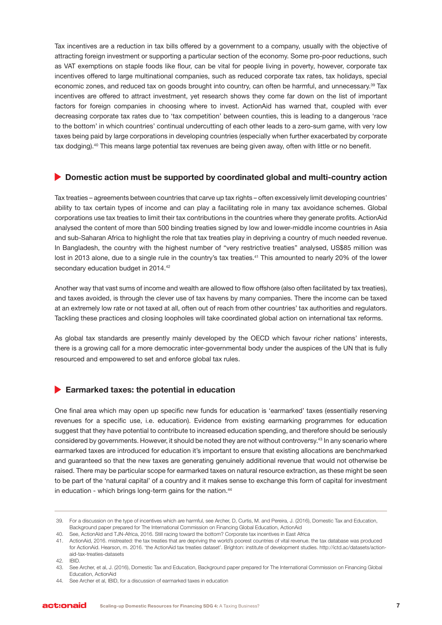Tax incentives are a reduction in tax bills offered by a government to a company, usually with the objective of attracting foreign investment or supporting a particular section of the economy. Some pro-poor reductions, such as VAT exemptions on staple foods like flour, can be vital for people living in poverty, however, corporate tax incentives offered to large multinational companies, such as reduced corporate tax rates, tax holidays, special economic zones, and reduced tax on goods brought into country, can often be harmful, and unnecessary.<sup>39</sup> Tax incentives are offered to attract investment, yet research shows they come far down on the list of important factors for foreign companies in choosing where to invest. ActionAid has warned that, coupled with ever decreasing corporate tax rates due to 'tax competition' between counties, this is leading to a dangerous 'race to the bottom' in which countries' continual undercutting of each other leads to a zero-sum game, with very low taxes being paid by large corporations in developing countries (especially when further exacerbated by corporate tax dodging).<sup>40</sup> This means large potential tax revenues are being given away, often with little or no benefit.

### **• Domestic action must be supported by coordinated global and multi-country action**

Tax treaties – agreements between countries that carve up tax rights – often excessively limit developing countries' ability to tax certain types of income and can play a facilitating role in many tax avoidance schemes. Global corporations use tax treaties to limit their tax contributions in the countries where they generate profits. ActionAid analysed the content of more than 500 binding treaties signed by low and lower-middle income countries in Asia and sub-Saharan Africa to highlight the role that tax treaties play in depriving a country of much needed revenue. In Bangladesh, the country with the highest number of "very restrictive treaties" analysed, US\$85 million was lost in 2013 alone, due to a single rule in the country's tax treaties.<sup>41</sup> This amounted to nearly 20% of the lower secondary education budget in 2014.<sup>42</sup>

Another way that vast sums of income and wealth are allowed to flow offshore (also often facilitated by tax treaties), and taxes avoided, is through the clever use of tax havens by many companies. There the income can be taxed at an extremely low rate or not taxed at all, often out of reach from other countries' tax authorities and regulators. Tackling these practices and closing loopholes will take coordinated global action on international tax reforms.

As global tax standards are presently mainly developed by the OECD which favour richer nations' interests, there is a growing call for a more democratic inter-governmental body under the auspices of the UN that is fully resourced and empowered to set and enforce global tax rules.

#### **Earmarked taxes: the potential in education**

One final area which may open up specific new funds for education is 'earmarked' taxes (essentially reserving revenues for a specific use, i.e. education). Evidence from existing earmarking programmes for education suggest that they have potential to contribute to increased education spending, and therefore should be seriously considered by governments. However, it should be noted they are not without controversy.<sup>43</sup> In any scenario where earmarked taxes are introduced for education it's important to ensure that existing allocations are benchmarked and guaranteed so that the new taxes are generating genuinely additional revenue that would not otherwise be raised. There may be particular scope for earmarked taxes on natural resource extraction, as these might be seen to be part of the 'natural capital' of a country and it makes sense to exchange this form of capital for investment in education - which brings long-term gains for the nation.<sup>44</sup>

42. IBID.

<sup>39.</sup> For a discussion on the type of incentives which are harmful, see Archer, D, Curtis, M. and Pereira, J. (2016), Domestic Tax and Education, Background paper prepared for The International Commission on Financing Global Education, ActionAid

<sup>40.</sup> See, ActionAId and TJN-Africa, 2016. Still racing toward the bottom? Corporate tax incentives in East Africa

<sup>41.</sup> ActionAid, 2016. mistreated: the tax treaties that are depriving the world's poorest countries of vital revenue. the tax database was produced for ActionAid. Hearson, m. 2016. 'the ActionAid tax treaties dataset'. Brighton: institute of development studies. http://ictd.ac/datasets/actionaid-tax-treaties-datasets

<sup>43.</sup> See Archer, et al, J. (2016), Domestic Tax and Education, Background paper prepared for The International Commission on Financing Global Education, ActionAid

<sup>44.</sup> See Archer et al, IBID, for a discussion of earmarked taxes in education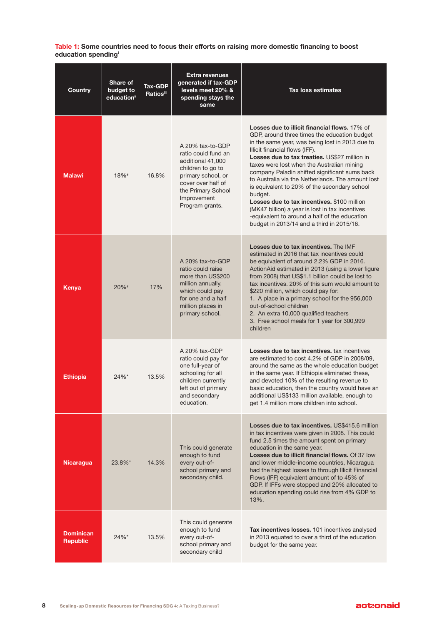**Table 1: Some countries need to focus their efforts on raising more domestic financing to boost education spendingi**

| <b>Country</b>                      | Share of<br>budget to<br>education <sup>ii</sup> | <b>Tax-GDP</b><br>Ratios <sup>iii</sup> | <b>Extra revenues</b><br>generated if tax-GDP<br>levels meet 20% &<br>spending stays the<br>same                                                                                      | <b>Tax loss estimates</b>                                                                                                                                                                                                                                                                                                                                                                                                                                                                                                                                                                                                                                 |
|-------------------------------------|--------------------------------------------------|-----------------------------------------|---------------------------------------------------------------------------------------------------------------------------------------------------------------------------------------|-----------------------------------------------------------------------------------------------------------------------------------------------------------------------------------------------------------------------------------------------------------------------------------------------------------------------------------------------------------------------------------------------------------------------------------------------------------------------------------------------------------------------------------------------------------------------------------------------------------------------------------------------------------|
| <b>Malawi</b>                       | 18%#                                             | 16.8%                                   | A 20% tax-to-GDP<br>ratio could fund an<br>additional 41,000<br>children to go to<br>primary school, or<br>cover over half of<br>the Primary School<br>Improvement<br>Program grants. | <b>Losses due to illicit financial flows.</b> 17% of<br>GDP, around three times the education budget<br>in the same year, was being lost in 2013 due to<br>Illicit financial flows (IFF).<br>Losses due to tax treaties. US\$27 million in<br>taxes were lost when the Australian mining<br>company Paladin shifted significant sums back<br>to Australia via the Netherlands. The amount lost<br>is equivalent to 20% of the secondary school<br>budget.<br>Losses due to tax incentives. \$100 million<br>(MK47 billion) a year is lost in tax incentives<br>-equivalent to around a half of the education<br>budget in 2013/14 and a third in 2015/16. |
| Kenya                               | $20\%$ <sup>#</sup>                              | 17%                                     | A 20% tax-to-GDP<br>ratio could raise<br>more than US\$200<br>million annually,<br>which could pay<br>for one and a half<br>million places in<br>primary school.                      | Losses due to tax incentives. The IMF<br>estimated in 2016 that tax incentives could<br>be equivalent of around 2.2% GDP in 2016.<br>ActionAid estimated in 2013 (using a lower figure<br>from 2008) that US\$1.1 billion could be lost to<br>tax incentives. 20% of this sum would amount to<br>\$220 million, which could pay for:<br>1. A place in a primary school for the 956,000<br>out-of-school children<br>2. An extra 10,000 qualified teachers<br>3. Free school meals for 1 year for 300,999<br>children                                                                                                                                      |
| <b>Ethiopia</b>                     | 24%*                                             | 13.5%                                   | A 20% tax-GDP<br>ratio could pay for<br>one full-year of<br>schooling for all<br>children currently<br>left out of primary<br>and secondary<br>education.                             | Losses due to tax incentives, tax incentives<br>are estimated to cost 4.2% of GDP in 2008/09,<br>around the same as the whole education budget<br>in the same year. If Ethiopia eliminated these,<br>and devoted 10% of the resulting revenue to<br>basic education, then the country would have an<br>additional US\$133 million available, enough to<br>get 1.4 million more children into school.                                                                                                                                                                                                                                                      |
| <b>Nicaragua</b>                    | 23.8%*                                           | 14.3%                                   | This could generate<br>enough to fund<br>every out-of-<br>school primary and<br>secondary child.                                                                                      | Losses due to tax incentives. US\$415.6 million<br>in tax incentives were given in 2008. This could<br>fund 2.5 times the amount spent on primary<br>education in the same year.<br>Losses due to illicit financial flows. Of 37 low<br>and lower middle-income countries, Nicaragua<br>had the highest losses to through Illicit Financial<br>Flows (IFF) equivalent amount of to 45% of<br>GDP. If IFFs were stopped and 20% allocated to<br>education spending could rise from 4% GDP to<br>13%.                                                                                                                                                       |
| <b>Dominican</b><br><b>Republic</b> | 24%*                                             | 13.5%                                   | This could generate<br>enough to fund<br>every out-of-<br>school primary and<br>secondary child                                                                                       | Tax incentives losses. 101 incentives analysed<br>in 2013 equated to over a third of the education<br>budget for the same year.                                                                                                                                                                                                                                                                                                                                                                                                                                                                                                                           |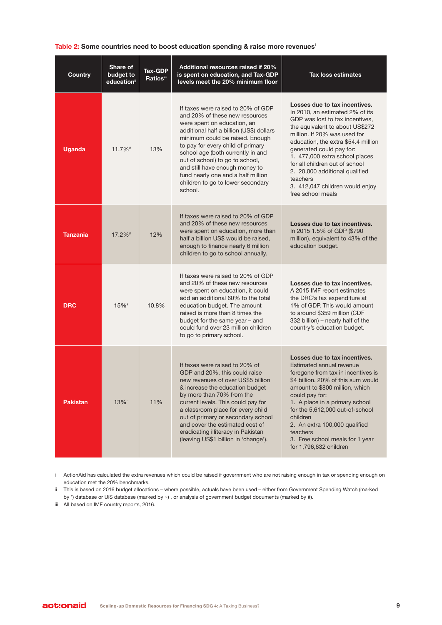#### **Table 2: Some countries need to boost education spending & raise more revenues<sup>i</sup>**

| <b>Country</b>  | Share of<br>budget to<br>education <sup>ii</sup> | <b>Tax-GDP</b><br><b>Ratiosiii</b> | Additional resources raised if 20%<br>is spent on education, and Tax-GDP<br>levels meet the 20% minimum floor                                                                                                                                                                                                                                                                                                           | <b>Tax loss estimates</b>                                                                                                                                                                                                                                                                                                                                                                                           |
|-----------------|--------------------------------------------------|------------------------------------|-------------------------------------------------------------------------------------------------------------------------------------------------------------------------------------------------------------------------------------------------------------------------------------------------------------------------------------------------------------------------------------------------------------------------|---------------------------------------------------------------------------------------------------------------------------------------------------------------------------------------------------------------------------------------------------------------------------------------------------------------------------------------------------------------------------------------------------------------------|
| <b>Uganda</b>   | 11.7%#                                           | 13%                                | If taxes were raised to 20% of GDP<br>and 20% of these new resources<br>were spent on education, an<br>additional half a billion (US\$) dollars<br>minimum could be raised. Enough<br>to pay for every child of primary<br>school age (both currently in and<br>out of school) to go to school,<br>and still have enough money to<br>fund nearly one and a half million<br>children to go to lower secondary<br>school. | Losses due to tax incentives.<br>In 2010, an estimated 2% of its<br>GDP was lost to tax incentives,<br>the equivalent to about US\$272<br>million. If 20% was used for<br>education, the extra \$54.4 million<br>generated could pay for:<br>1. 477,000 extra school places<br>for all children out of school<br>2. 20,000 additional qualified<br>teachers<br>3. 412,047 children would enjoy<br>free school meals |
| <b>Tanzania</b> | 17.2%#                                           | 12%                                | If taxes were raised to 20% of GDP<br>and 20% of these new resources<br>were spent on education, more than<br>half a billion US\$ would be raised,<br>enough to finance nearly 6 million<br>children to go to school annually.                                                                                                                                                                                          | Losses due to tax incentives.<br>In 2015 1.5% of GDP (\$790<br>million), equivalent to 43% of the<br>education budget.                                                                                                                                                                                                                                                                                              |
| <b>DRC</b>      | 15%#                                             | 10.8%                              | If taxes were raised to 20% of GDP<br>and 20% of these new resources<br>were spent on education, it could<br>add an additional 60% to the total<br>education budget. The amount<br>raised is more than 8 times the<br>budget for the same year - and<br>could fund over 23 million children<br>to go to primary school.                                                                                                 | Losses due to tax incentives.<br>A 2015 IMF report estimates<br>the DRC's tax expenditure at<br>1% of GDP. This would amount<br>to around \$359 million (CDF<br>332 billion) - nearly half of the<br>country's education budget.                                                                                                                                                                                    |
| <b>Pakistan</b> | 13%~                                             | 11%                                | If taxes were raised to 20% of<br>GDP and 20%, this could raise<br>new revenues of over US\$5 billion<br>& increase the education budget<br>by more than 70% from the<br>current levels. This could pay for<br>a classroom place for every child<br>out of primary or secondary school<br>and cover the estimated cost of<br>eradicating illiteracy in Pakistan<br>(leaving US\$1 billion in 'change').                 | Losses due to tax incentives.<br>Estimated annual revenue<br>foregone from tax in incentives is<br>\$4 billion. 20% of this sum would<br>amount to \$800 million, which<br>could pay for:<br>1. A place in a primary school<br>for the 5,612,000 out-of-school<br>children<br>2. An extra 100,000 qualified<br>teachers<br>3. Free school meals for 1 year<br>for 1,796,632 children                                |

i ActionAid has calculated the extra revenues which could be raised if government who are not raising enough in tax or spending enough on education met the 20% benchmarks.

ii This is based on 2016 budget allocations – where possible, actuals have been used – either from Government Spending Watch (marked by \*) database or UiS database (marked by ~) , or analysis of government budget documents (marked by #).

iii All based on IMF country reports, 2016.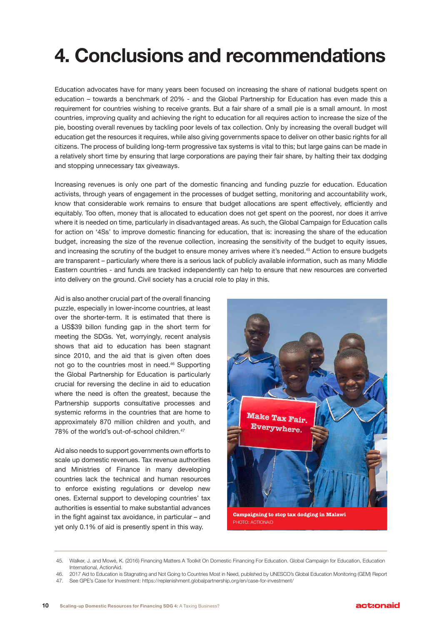# **4. Conclusions and recommendations**

Education advocates have for many years been focused on increasing the share of national budgets spent on education – towards a benchmark of 20% - and the Global Partnership for Education has even made this a requirement for countries wishing to receive grants. But a fair share of a small pie is a small amount. In most countries, improving quality and achieving the right to education for all requires action to increase the size of the pie, boosting overall revenues by tackling poor levels of tax collection. Only by increasing the overall budget will education get the resources it requires, while also giving governments space to deliver on other basic rights for all citizens. The process of building long-term progressive tax systems is vital to this; but large gains can be made in a relatively short time by ensuring that large corporations are paying their fair share, by halting their tax dodging and stopping unnecessary tax giveaways.

Increasing revenues is only one part of the domestic financing and funding puzzle for education. Education activists, through years of engagement in the processes of budget setting, monitoring and accountability work, know that considerable work remains to ensure that budget allocations are spent effectively, efficiently and equitably. Too often, money that is allocated to education does not get spent on the poorest, nor does it arrive where it is needed on time, particularly in disadvantaged areas. As such, the Global Campaign for Education calls for action on '4Ss' to improve domestic financing for education, that is: increasing the share of the education budget, increasing the size of the revenue collection, increasing the sensitivity of the budget to equity issues, and increasing the scrutiny of the budget to ensure money arrives where it's needed.<sup>45</sup> Action to ensure budgets are transparent – particularly where there is a serious lack of publicly available information, such as many Middle Eastern countries - and funds are tracked independently can help to ensure that new resources are converted into delivery on the ground. Civil society has a crucial role to play in this.

Aid is also another crucial part of the overall financing puzzle, especially in lower-income countries, at least over the shorter-term. It is estimated that there is a US\$39 billon funding gap in the short term for meeting the SDGs. Yet, worryingly, recent analysis shows that aid to education has been stagnant since 2010, and the aid that is given often does not go to the countries most in need.46 Supporting the Global Partnership for Education is particularly crucial for reversing the decline in aid to education where the need is often the greatest, because the Partnership supports consultative processes and systemic reforms in the countries that are home to approximately 870 million children and youth, and 78% of the world's out-of-school children.<sup>47</sup>

Aid also needs to support governments own efforts to scale up domestic revenues. Tax revenue authorities and Ministries of Finance in many developing countries lack the technical and human resources to enforce existing regulations or develop new ones. External support to developing countries' tax authorities is essential to make substantial advances in the fight against tax avoidance, in particular – and yet only 0.1% of aid is presently spent in this way.



**Campaigning to stop tax dodging in Malawi** PHOTO: ACTIONAID

<sup>45.</sup> Walker, J. and Mowé, K. (2016) Financing Matters A Toolkit On Domestic Financing For Education. Global Campaign for Education, Education International, ActionAid.

<sup>46.</sup> 2017 Aid to Education is Stagnating and Not Going to Countries Most in Need, published by UNESCO's Global Education Monitoring (GEM) Report 47. See GPE's Case for Investment: https://replenishment.globalpartnership.org/en/case-for-investment/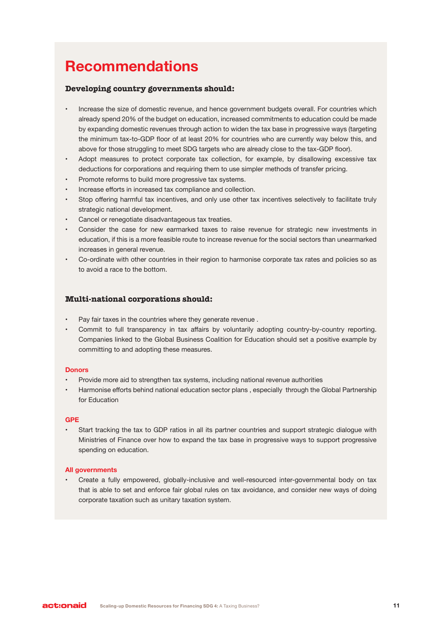### **Recommendations**

#### **Developing country governments should:**

- Increase the size of domestic revenue, and hence government budgets overall. For countries which already spend 20% of the budget on education, increased commitments to education could be made by expanding domestic revenues through action to widen the tax base in progressive ways (targeting the minimum tax-to-GDP floor of at least 20% for countries who are currently way below this, and above for those struggling to meet SDG targets who are already close to the tax-GDP floor).
- Adopt measures to protect corporate tax collection, for example, by disallowing excessive tax deductions for corporations and requiring them to use simpler methods of transfer pricing.
- Promote reforms to build more progressive tax systems.
- Increase efforts in increased tax compliance and collection.
- Stop offering harmful tax incentives, and only use other tax incentives selectively to facilitate truly strategic national development.
- Cancel or renegotiate disadvantageous tax treaties.
- Consider the case for new earmarked taxes to raise revenue for strategic new investments in education, if this is a more feasible route to increase revenue for the social sectors than unearmarked increases in general revenue.
- Co-ordinate with other countries in their region to harmonise corporate tax rates and policies so as to avoid a race to the bottom.

#### **Multi-national corporations should:**

- Pay fair taxes in the countries where they generate revenue .
- Commit to full transparency in tax affairs by voluntarily adopting country-by-country reporting. Companies linked to the Global Business Coalition for Education should set a positive example by committing to and adopting these measures.

#### **Donors**

- Provide more aid to strengthen tax systems, including national revenue authorities
- Harmonise efforts behind national education sector plans , especially through the Global Partnership for Education

#### **GPE**

• Start tracking the tax to GDP ratios in all its partner countries and support strategic dialogue with Ministries of Finance over how to expand the tax base in progressive ways to support progressive spending on education.

#### **All governments**

• Create a fully empowered, globally-inclusive and well-resourced inter-governmental body on tax that is able to set and enforce fair global rules on tax avoidance, and consider new ways of doing corporate taxation such as unitary taxation system.